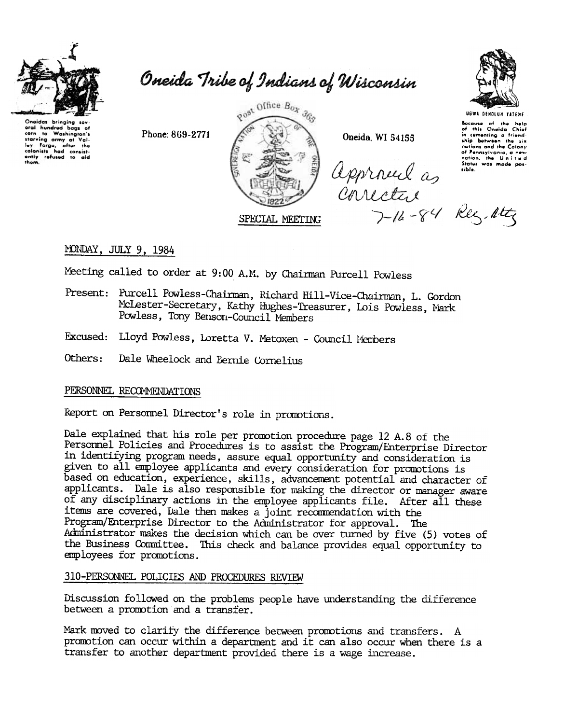

Oneida Tribe of Indians of Wisconsin

Onoidas bringing sov-<br>oral hundred bags of<br>corn to Washington's carn to washington's<br>starving army at Valley<br>lay forge, after the<br>colonists had consistently refused to aid<br>them.

Phone: 869-2771



Oneida, WI 54155

Approved as intervention



Because of the help<br>of this Oneida Chief<br>in cementing a friend-<br>ship between the six nations and the Colony nations and the Colony<br>of Pennsylvania, a new<br>Status was made pos-<br>sible.

# MONDAY, JULY 9, 1984

Meeting called to order at 9:00 A.M. by Chairman Purcell Powless

- Present: Purcell Powless-Chairman, Richard Hill-Vice-Chairman, L. Gordon McLester-Secretary, Kathy Hughes-Treasurer, Lois Powless, Mark Powless, Tony Benson-Council Members
- Excused: Lloyd Powless, Loretta V. Metoxen Council Members
- Others: Dale Wheelock and Bernie Cornelius

## PERSONNEL RECOMMENDATIONS

Report on Personnel Director's role in promotions.

Dale explained that his role per promotion procedure page 12 A.8 of the Personnel Policies and Procedures is to assist the Program/Enterprise Director in identifying program needs, assure equal opportunity and consideration is given to all employee applicants and every consideration for promotions is based on education, experience, skills, advancement potential and character of applicants. Dale is also responsible for making the director or manager aware of any disciplinary actions in the employee applicants file. After all these items are covered, Dale then makes a joint recommendation with the Program/Enterprise Director to the Administrator for approval. The Administrator makes the decision which can be over turned by five (5) votes of the Business Committee. This check and balance provides equal opportunity to employees for promotions.

## 310-PERSONNEL POLICIES AND PROCEDURES REVIEW

Discussion followed on the problems people have understanding the difference between a promotion and a transfer.

Mark moved to clarify the difference between promotions and transfers. A promotion can occur within a department and it can also occur when there is a transfer to another department provided there is a wage increase.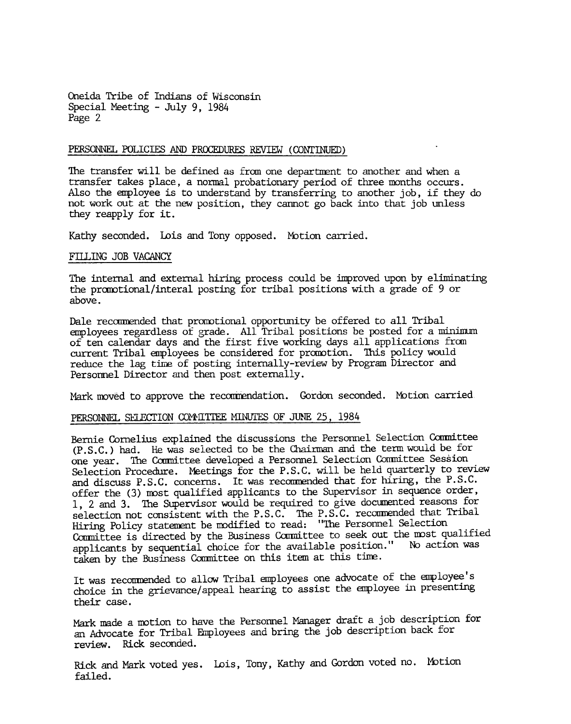Oneida Tribe of Indians of Wisconsin Special Meeting - July 9, 1984 Page 2

### PERSONNEL POLICIES AND PROCEDURES REVIEW (CONTINUED)

The transfer will be defined as from one department to another and when a transfer takes place, a normal probationary period of three months occurs. Also the employee is to understand by transferring to another job, if they do not work out at the new position, they cannot go back into that job unless they reapply for it.

Kathy seconded. Lois and Tony opposed. Motion carried.

#### FILLING JOB VACANCY

The internal and external hiring process could be improved upon by eliminating the promotional/interal posting for tribal positions with a grade of 9 or above.

Dale recommended that promotional opportunity be offered to all Tribal employees regardless of grade. All Tribal positions be posted for a minimum of ten calendar days and the first five working days all applications from current Tribal employees be considered for promotion. This policy would reduce the lag time of posting internally-review by Program Director and Personnel Director and then post externally.

Mark moved to approve the recommendation. Gordon seconded. Motion carried

# PERSONNEL SELECTION COMMITTEE MINUTES OF JUNE 25, 1984

Bernie Cornelius explained the discussions the Personnel Selection Committee (P. S. C.) had. He was selected to be the Chairman and the term would be for one year. The Ccmnittee developed a Personnel Selection Conmittee Session Selection Procedure. Meetings for the P.S.C. will be held quarterly to review and discuss P.S.C. concerns. It was recommended that for hiring, the P.S.C. offer the (3) mst qualified applicants to the Supervisor in sequence order, 1, 2 and 3. The Supervisor would be required to give documented reasons for selection not consistent with the P.S.C. The P.S.C. recommended that Tribal Hiring Policy statement be modified to read: "The Personnel Selection Committee is directed by the Business Committee to seek out the most qualified applicants by sequential choice for the available position." No action was taken by the Business Committee on this item at this time.

It was recommended to allow Tribal employees one advocate of the employee's choice in the grievance/appeal hearing to assist the employee in presenting their case.

Mark made a motion to have the Personnel Manager draft a job description for an Advocate for Tribal Employees and bring the job description back for review. Rick seconded.

Rick and Mark voted yes. Lois, Tony, Kathy and Gordon voted no. Motion failed.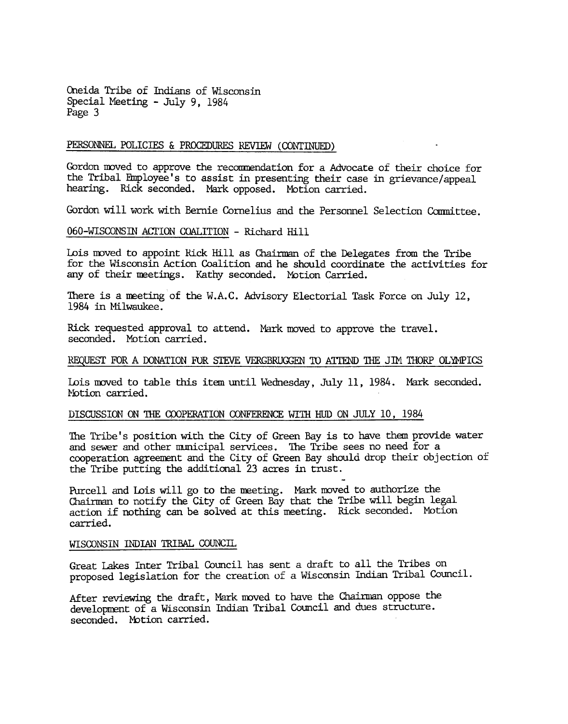Oneida Tribe of Indians of Wisconsin Special Meeting -July 9, 1984 Page 3

# PERSONNEL POLICIES & PROCEDURES REVIEW (CONTINUED)

Gordon moved to approve the recommendation for a Advocate of their choice for the Tribal Employee's to assist in presenting their case in grievance/appeal hearing. Rick seconded. Mark opposed. Motion carried.

Gordon will work with Bernie Cornelius and the Personnel Selection Committee.

## 060-WISCONSIN ACTION COALITION - Richard Hill

Lois moved to appoint Rick Hill as Chairman of the Delegates from the Tribe for the Wisconsin Action Coalition and he should coordinate the activities for any of their meetings. Kathy seconded. Motion Carried.

There is a meeting of the W.A.C. Advisory Electorial Task Force on July 12, 1984 in Milwaukee.

Rick requested approval to attend. Mark moved to approve the travel seconded. Motion carried.

#### REQUEST FOR A DONATION FOR STEVE VERGBRUGGEN TO ATTEND THE JIM THORP OLYMPICS

Lois moved to table this item until Wednesday, July 11, 1984. Mark seconded. Motion carried.

### DISCUSSION ON THE COOPERATION CONFERENCE WITH HUD ON JULY 10, 1984

The Tribe's position with the City of Green Bay is to have them provide water and sewer and other municipal services. The Tribe sees no need for a cooperation agreement and the City of Green Bay should drop their objection of the Tribe putting the additional 23 acres in trust. -

Purcell and Lois will go to the meeting. Mark moved to authorize the Chairman to notify the City of Green Bay that the Tribe will begin legal action if nothing can be solved at this meeting. Rick seconded. Motion carried.

#### WISCONSIN INDIAN TRIBAL COUNCIL

Great Lakes Inter Tribal Council has sent a draft to all the Tribes on proposed legislation for the creation of a Wisconsin Indian Tribal Council.

After reviewing the draft, Mark moved to have the Chairman oppose the development of a Wisconsin Indian Tribal Council and dues structure. seconded. Motion carried.